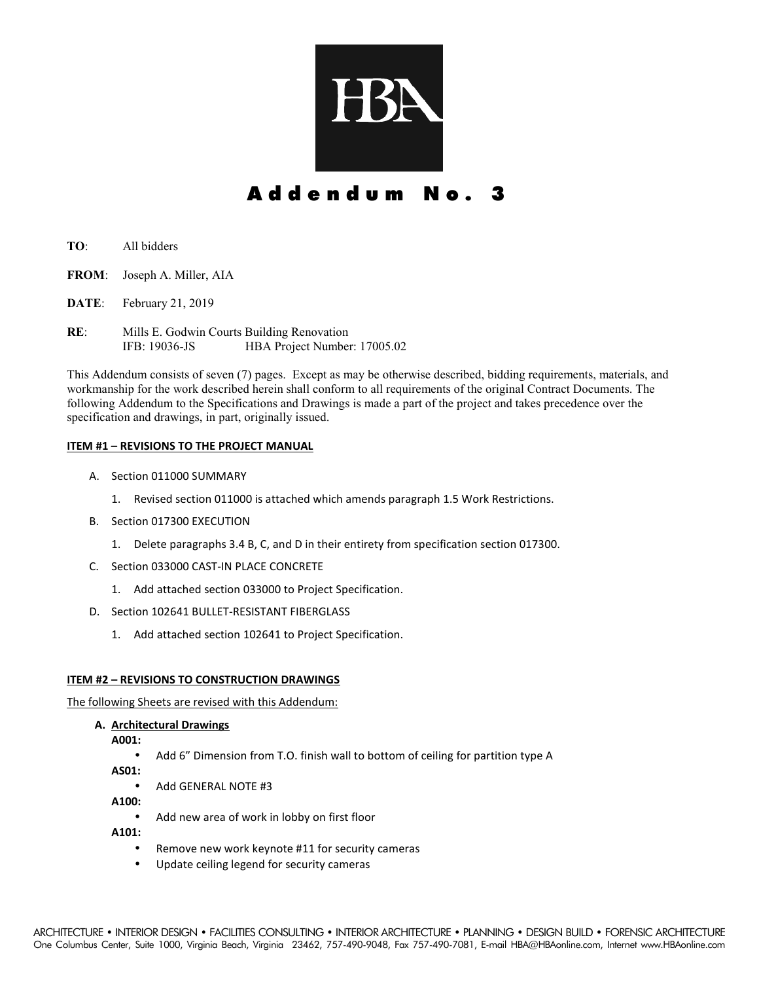

# Addendum No.

- **TO**: All bidders
- **FROM**: Joseph A. Miller, AIA
- **DATE**: February 21, 2019
- **RE**: Mills E. Godwin Courts Building Renovation IFB: 19036-JS HBA Project Number: 17005.02

This Addendum consists of seven (7) pages. Except as may be otherwise described, bidding requirements, materials, and workmanship for the work described herein shall conform to all requirements of the original Contract Documents. The following Addendum to the Specifications and Drawings is made a part of the project and takes precedence over the specification and drawings, in part, originally issued.

#### **ITEM #1 – REVISIONS TO THE PROJECT MANUAL**

- A. Section 011000 SUMMARY
	- 1. Revised section 011000 is attached which amends paragraph 1.5 Work Restrictions.
- B. Section 017300 EXECUTION
	- 1. Delete paragraphs 3.4 B, C, and D in their entirety from specification section 017300.
- C. Section 033000 CAST-IN PLACE CONCRETE
	- 1. Add attached section 033000 to Project Specification.
- D. Section 102641 BULLET-RESISTANT FIBERGLASS
	- 1. Add attached section 102641 to Project Specification.

#### **ITEM #2 – REVISIONS TO CONSTRUCTION DRAWINGS**

The following Sheets are revised with this Addendum:

**A. Architectural Drawings** 

**A001:** 

• Add 6" Dimension from T.O. finish wall to bottom of ceiling for partition type A

**AS01:** 

• Add GENERAL NOTE #3

**A100:** 

• Add new area of work in lobby on first floor

**A101:** 

- Remove new work keynote #11 for security cameras
- Update ceiling legend for security cameras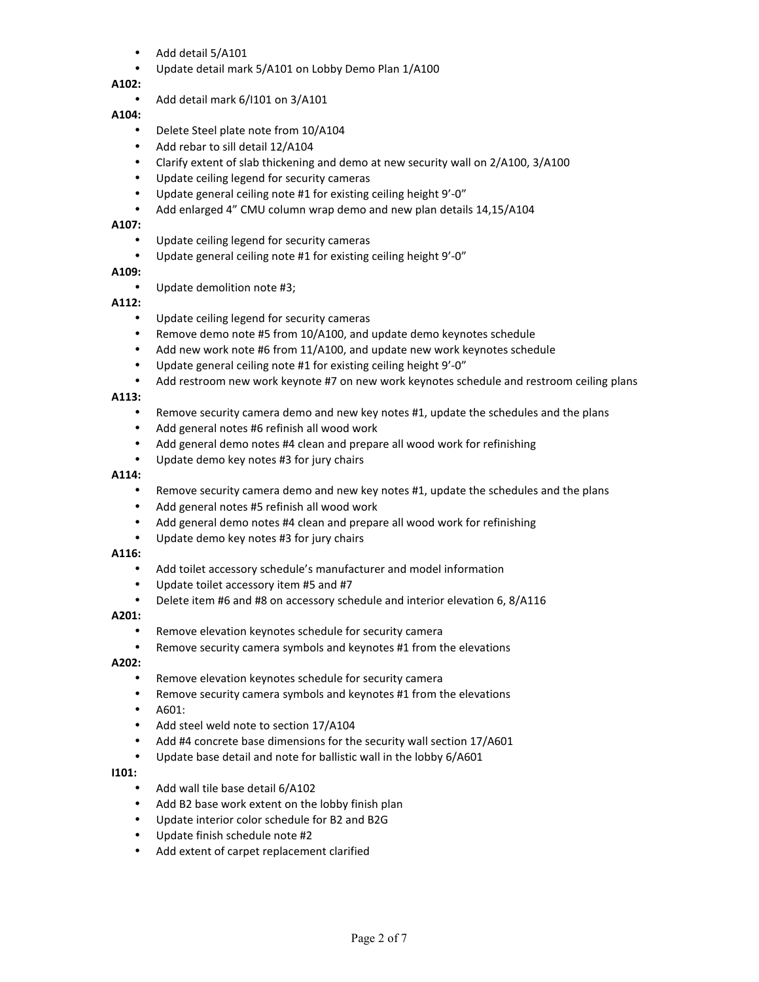- Add detail 5/A101
- Update detail mark 5/A101 on Lobby Demo Plan 1/A100

# **A102:**

• Add detail mark 6/I101 on 3/A101

# **A104:**

- Delete Steel plate note from 10/A104
- Add rebar to sill detail 12/A104
- Clarify extent of slab thickening and demo at new security wall on 2/A100, 3/A100
- Update ceiling legend for security cameras
- Update general ceiling note #1 for existing ceiling height 9'-0"
- Add enlarged 4" CMU column wrap demo and new plan details 14,15/A104

# **A107:**

- Update ceiling legend for security cameras
- Update general ceiling note #1 for existing ceiling height 9'-0"

# **A109:**

• Update demolition note #3;

# **A112:**

- Update ceiling legend for security cameras
- Remove demo note #5 from 10/A100, and update demo keynotes schedule
- Add new work note #6 from 11/A100, and update new work keynotes schedule
- Update general ceiling note #1 for existing ceiling height 9'-0"
- Add restroom new work keynote #7 on new work keynotes schedule and restroom ceiling plans

# **A113:**

- Remove security camera demo and new key notes #1, update the schedules and the plans
- Add general notes #6 refinish all wood work
- Add general demo notes #4 clean and prepare all wood work for refinishing
- Update demo key notes #3 for jury chairs

#### **A114:**

- Remove security camera demo and new key notes #1, update the schedules and the plans
- Add general notes #5 refinish all wood work
- Add general demo notes #4 clean and prepare all wood work for refinishing
- Update demo key notes #3 for jury chairs

# **A116:**

- Add toilet accessory schedule's manufacturer and model information
- Update toilet accessory item #5 and #7
- Delete item #6 and #8 on accessory schedule and interior elevation 6, 8/A116

# **A201:**

- Remove elevation keynotes schedule for security camera
- Remove security camera symbols and keynotes #1 from the elevations

# **A202:**

- Remove elevation keynotes schedule for security camera
- Remove security camera symbols and keynotes #1 from the elevations
- A601:
- Add steel weld note to section 17/A104
- Add #4 concrete base dimensions for the security wall section 17/A601
- Update base detail and note for ballistic wall in the lobby 6/A601

# **I101:**

- Add wall tile base detail 6/A102
- Add B2 base work extent on the lobby finish plan
- Update interior color schedule for B2 and B2G
- Update finish schedule note #2
- Add extent of carpet replacement clarified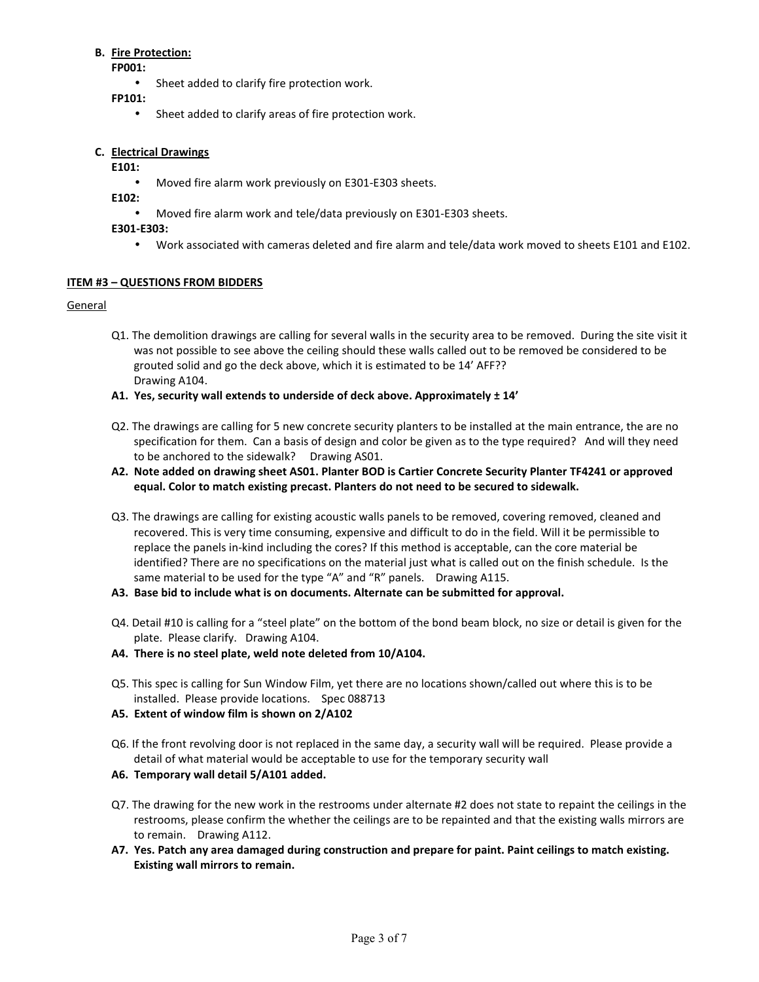#### **B. Fire Protection:**

**FP001:** 

- Sheet added to clarify fire protection work.
- **FP101:** 
	- Sheet added to clarify areas of fire protection work.

### **C. Electrical Drawings**

#### **E101:**

• Moved fire alarm work previously on E301-E303 sheets.

**E102:** 

• Moved fire alarm work and tele/data previously on E301-E303 sheets.

#### **E301-E303:**

• Work associated with cameras deleted and fire alarm and tele/data work moved to sheets E101 and E102.

# **ITEM #3 – QUESTIONS FROM BIDDERS**

#### General

- Q1. The demolition drawings are calling for several walls in the security area to be removed. During the site visit it was not possible to see above the ceiling should these walls called out to be removed be considered to be grouted solid and go the deck above, which it is estimated to be 14' AFF?? Drawing A104.
- **A1. Yes, security wall extends to underside of deck above. Approximately ± 14'**
- Q2. The drawings are calling for 5 new concrete security planters to be installed at the main entrance, the are no specification for them. Can a basis of design and color be given as to the type required? And will they need to be anchored to the sidewalk? Drawing AS01.
- **A2. Note added on drawing sheet AS01. Planter BOD is Cartier Concrete Security Planter TF4241 or approved equal. Color to match existing precast. Planters do not need to be secured to sidewalk.**
- Q3. The drawings are calling for existing acoustic walls panels to be removed, covering removed, cleaned and recovered. This is very time consuming, expensive and difficult to do in the field. Will it be permissible to replace the panels in-kind including the cores? If this method is acceptable, can the core material be identified? There are no specifications on the material just what is called out on the finish schedule. Is the same material to be used for the type "A" and "R" panels. Drawing A115.
- **A3. Base bid to include what is on documents. Alternate can be submitted for approval.**
- Q4. Detail #10 is calling for a "steel plate" on the bottom of the bond beam block, no size or detail is given for the plate. Please clarify. Drawing A104.
- **A4. There is no steel plate, weld note deleted from 10/A104.**
- Q5. This spec is calling for Sun Window Film, yet there are no locations shown/called out where this is to be installed. Please provide locations. Spec 088713
- **A5. Extent of window film is shown on 2/A102**
- Q6. If the front revolving door is not replaced in the same day, a security wall will be required. Please provide a detail of what material would be acceptable to use for the temporary security wall
- **A6. Temporary wall detail 5/A101 added.**
- Q7. The drawing for the new work in the restrooms under alternate #2 does not state to repaint the ceilings in the restrooms, please confirm the whether the ceilings are to be repainted and that the existing walls mirrors are to remain. Drawing A112.
- **A7. Yes. Patch any area damaged during construction and prepare for paint. Paint ceilings to match existing. Existing wall mirrors to remain.**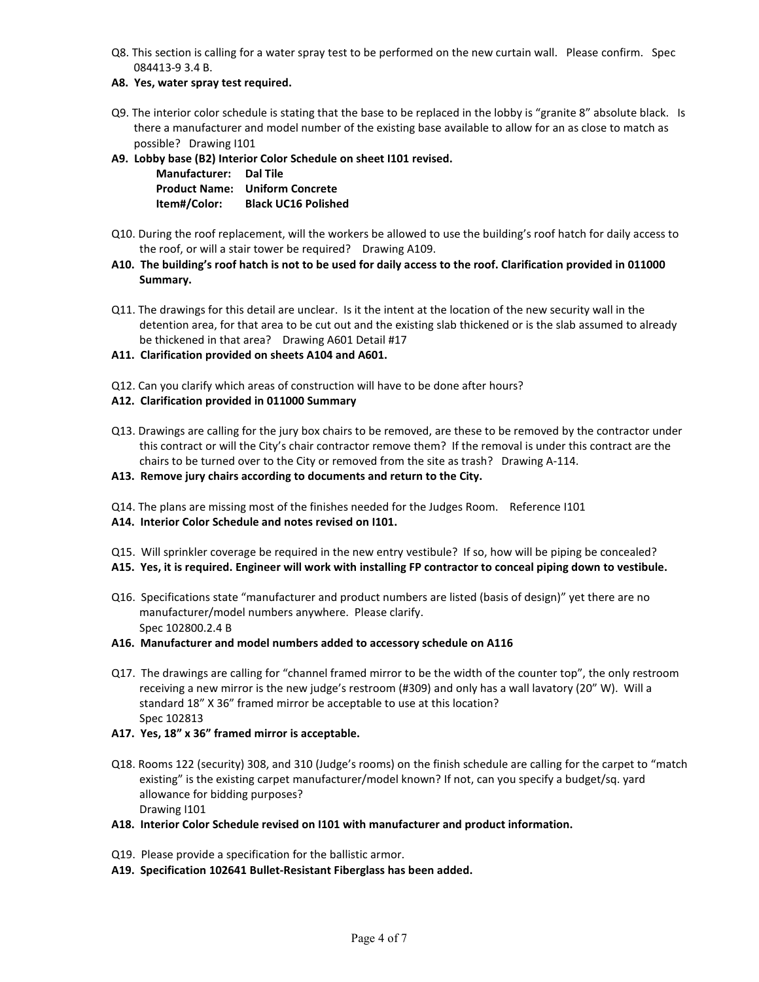- Q8. This section is calling for a water spray test to be performed on the new curtain wall. Please confirm. Spec 084413-9 3.4 B.
- **A8. Yes, water spray test required.**
- Q9. The interior color schedule is stating that the base to be replaced in the lobby is "granite 8" absolute black. Is there a manufacturer and model number of the existing base available to allow for an as close to match as possible? Drawing I101
- **A9. Lobby base (B2) Interior Color Schedule on sheet I101 revised.**

 **Manufacturer: Dal Tile Product Name: Uniform Concrete Item#/Color: Black UC16 Polished** 

- Q10. During the roof replacement, will the workers be allowed to use the building's roof hatch for daily access to the roof, or will a stair tower be required? Drawing A109.
- **A10. The building's roof hatch is not to be used for daily access to the roof. Clarification provided in 011000 Summary.**
- Q11. The drawings for this detail are unclear. Is it the intent at the location of the new security wall in the detention area, for that area to be cut out and the existing slab thickened or is the slab assumed to already be thickened in that area? Drawing A601 Detail #17
- **A11. Clarification provided on sheets A104 and A601.**
- Q12. Can you clarify which areas of construction will have to be done after hours?

#### **A12. Clarification provided in 011000 Summary**

- Q13. Drawings are calling for the jury box chairs to be removed, are these to be removed by the contractor under this contract or will the City's chair contractor remove them? If the removal is under this contract are the chairs to be turned over to the City or removed from the site as trash? Drawing A-114.
- **A13. Remove jury chairs according to documents and return to the City.**
- Q14. The plans are missing most of the finishes needed for the Judges Room. Reference I101
- **A14. Interior Color Schedule and notes revised on I101.**
- Q15. Will sprinkler coverage be required in the new entry vestibule? If so, how will be piping be concealed?
- **A15. Yes, it is required. Engineer will work with installing FP contractor to conceal piping down to vestibule.**
- Q16. Specifications state "manufacturer and product numbers are listed (basis of design)" yet there are no manufacturer/model numbers anywhere. Please clarify. Spec 102800.2.4 B
- **A16. Manufacturer and model numbers added to accessory schedule on A116**
- Q17. The drawings are calling for "channel framed mirror to be the width of the counter top", the only restroom receiving a new mirror is the new judge's restroom (#309) and only has a wall lavatory (20" W). Will a standard 18" X 36" framed mirror be acceptable to use at this location? Spec 102813
- **A17. Yes, 18" x 36" framed mirror is acceptable.**
- Q18. Rooms 122 (security) 308, and 310 (Judge's rooms) on the finish schedule are calling for the carpet to "match existing" is the existing carpet manufacturer/model known? If not, can you specify a budget/sq. yard allowance for bidding purposes? Drawing I101
- **A18. Interior Color Schedule revised on I101 with manufacturer and product information.**
- Q19. Please provide a specification for the ballistic armor.
- **A19. Specification 102641 Bullet-Resistant Fiberglass has been added.**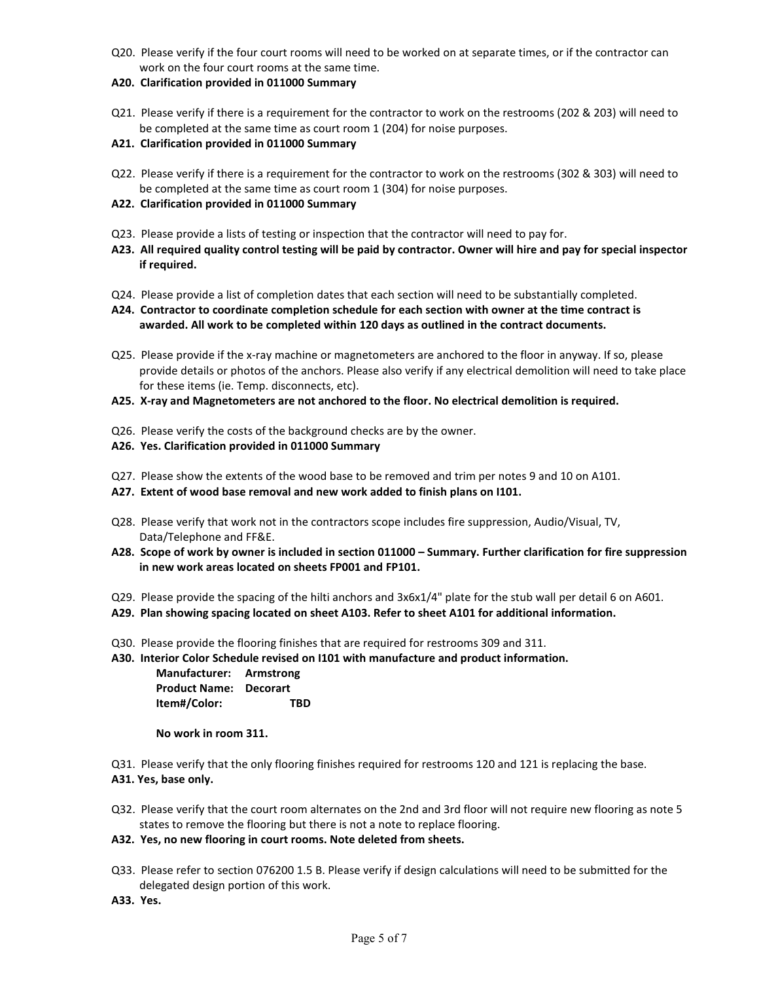- Q20. Please verify if the four court rooms will need to be worked on at separate times, or if the contractor can work on the four court rooms at the same time.
- **A20. Clarification provided in 011000 Summary**
- Q21. Please verify if there is a requirement for the contractor to work on the restrooms (202 & 203) will need to be completed at the same time as court room 1 (204) for noise purposes.
- **A21. Clarification provided in 011000 Summary**
- Q22. Please verify if there is a requirement for the contractor to work on the restrooms (302 & 303) will need to be completed at the same time as court room 1 (304) for noise purposes.
- **A22. Clarification provided in 011000 Summary**
- Q23. Please provide a lists of testing or inspection that the contractor will need to pay for.
- **A23. All required quality control testing will be paid by contractor. Owner will hire and pay for special inspector if required.**
- Q24. Please provide a list of completion dates that each section will need to be substantially completed.
- **A24. Contractor to coordinate completion schedule for each section with owner at the time contract is awarded. All work to be completed within 120 days as outlined in the contract documents.**
- Q25. Please provide if the x-ray machine or magnetometers are anchored to the floor in anyway. If so, please provide details or photos of the anchors. Please also verify if any electrical demolition will need to take place for these items (ie. Temp. disconnects, etc).
- **A25. X-ray and Magnetometers are not anchored to the floor. No electrical demolition is required.**
- Q26. Please verify the costs of the background checks are by the owner.
- **A26. Yes. Clarification provided in 011000 Summary**
- Q27. Please show the extents of the wood base to be removed and trim per notes 9 and 10 on A101.
- **A27. Extent of wood base removal and new work added to finish plans on I101.**
- Q28. Please verify that work not in the contractors scope includes fire suppression, Audio/Visual, TV, Data/Telephone and FF&E.
- **A28. Scope of work by owner is included in section 011000 Summary. Further clarification for fire suppression in new work areas located on sheets FP001 and FP101.**
- Q29. Please provide the spacing of the hilti anchors and 3x6x1/4" plate for the stub wall per detail 6 on A601.
- **A29. Plan showing spacing located on sheet A103. Refer to sheet A101 for additional information.**
- Q30. Please provide the flooring finishes that are required for restrooms 309 and 311.
- **A30. Interior Color Schedule revised on I101 with manufacture and product information.**

**Manufacturer: Armstrong Product Name: Decorart Item#/Color: TBD** 

**No work in room 311.**

Q31. Please verify that the only flooring finishes required for restrooms 120 and 121 is replacing the base. **A31. Yes, base only.**

- Q32. Please verify that the court room alternates on the 2nd and 3rd floor will not require new flooring as note 5 states to remove the flooring but there is not a note to replace flooring.
- **A32. Yes, no new flooring in court rooms. Note deleted from sheets.**
- Q33. Please refer to section 076200 1.5 B. Please verify if design calculations will need to be submitted for the delegated design portion of this work.
- **A33. Yes.**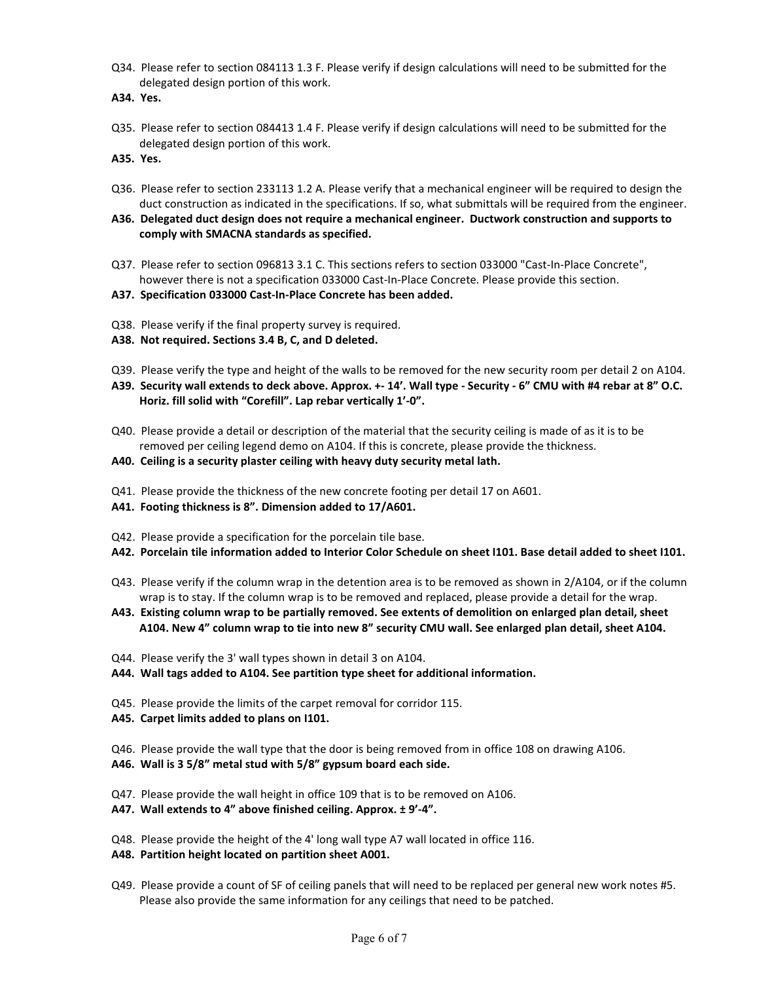- Q34. Please refer to section 084113 1.3 F. Please verify if design calculations will need to be submitted for the delegated design portion of this work.
- **A34. Yes.**
- Q35. Please refer to section 084413 1.4 F. Please verify if design calculations will need to be submitted for the delegated design portion of this work.
- **A35. Yes.**
- Q36. Please refer to section 233113 1.2 A. Please verify that a mechanical engineer will be required to design the duct construction as indicated in the specifications. If so, what submittals will be required from the engineer.
- **A36. Delegated duct design does not require a mechanical engineer. Ductwork construction and supports to comply with SMACNA standards as specified.**
- Q37. Please refer to section 096813 3.1 C. This sections refers to section 033000 "Cast-In-Place Concrete", however there is not a specification 033000 Cast-In-Place Concrete. Please provide this section.
- **A37. Specification 033000 Cast-In-Place Concrete has been added.**
- Q38. Please verify if the final property survey is required.
- **A38. Not required. Sections 3.4 B, C, and D deleted.**
- Q39. Please verify the type and height of the walls to be removed for the new security room per detail 2 on A104.
- **A39. Security wall extends to deck above. Approx. +- 14'. Wall type Security 6" CMU with #4 rebar at 8" O.C. Horiz. fill solid with "Corefill". Lap rebar vertically 1'-0".**
- Q40. Please provide a detail or description of the material that the security ceiling is made of as it is to be removed per ceiling legend demo on A104. If this is concrete, please provide the thickness.
- **A40. Ceiling is a security plaster ceiling with heavy duty security metal lath.**
- Q41. Please provide the thickness of the new concrete footing per detail 17 on A601.
- **A41. Footing thickness is 8". Dimension added to 17/A601.**
- Q42. Please provide a specification for the porcelain tile base.
- **A42. Porcelain tile information added to Interior Color Schedule on sheet I101. Base detail added to sheet I101.**
- Q43. Please verify if the column wrap in the detention area is to be removed as shown in 2/A104, or if the column wrap is to stay. If the column wrap is to be removed and replaced, please provide a detail for the wrap.
- **A43. Existing column wrap to be partially removed. See extents of demolition on enlarged plan detail, sheet A104. New 4" column wrap to tie into new 8" security CMU wall. See enlarged plan detail, sheet A104.**
- Q44. Please verify the 3' wall types shown in detail 3 on A104.
- **A44. Wall tags added to A104. See partition type sheet for additional information.**
- Q45. Please provide the limits of the carpet removal for corridor 115.
- **A45. Carpet limits added to plans on I101.**
- Q46. Please provide the wall type that the door is being removed from in office 108 on drawing A106.
- **A46. Wall is 3 5/8" metal stud with 5/8" gypsum board each side.**
- Q47. Please provide the wall height in office 109 that is to be removed on A106.
- **A47. Wall extends to 4" above finished ceiling. Approx. ± 9'-4".**
- Q48. Please provide the height of the 4' long wall type A7 wall located in office 116.
- **A48. Partition height located on partition sheet A001.**
- Q49. Please provide a count of SF of ceiling panels that will need to be replaced per general new work notes #5. Please also provide the same information for any ceilings that need to be patched.